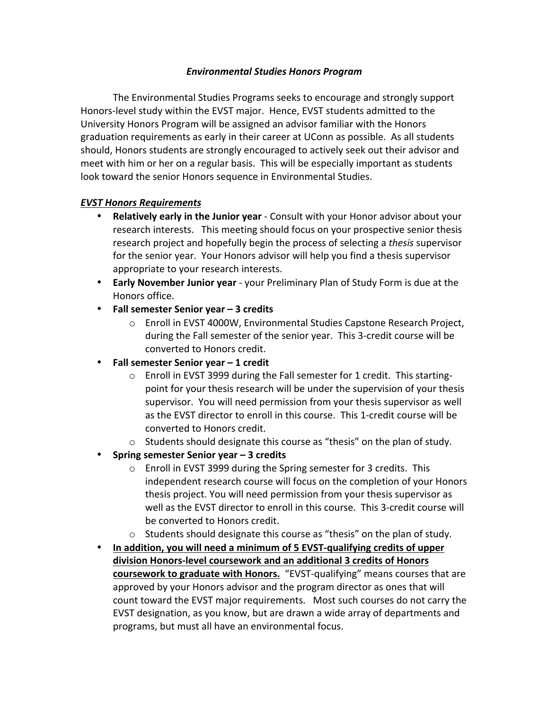## *Environmental Studies Honors Program*

The Environmental Studies Programs seeks to encourage and strongly support Honors-level study within the EVST major. Hence, EVST students admitted to the University Honors Program will be assigned an advisor familiar with the Honors graduation requirements as early in their career at UConn as possible. As all students should, Honors students are strongly encouraged to actively seek out their advisor and meet with him or her on a regular basis. This will be especially important as students look toward the senior Honors sequence in Environmental Studies.

## *EVST Honors Requirements*

- **Relatively early in the Junior year** Consult with your Honor advisor about your research interests. This meeting should focus on your prospective senior thesis research project and hopefully begin the process of selecting a *thesis* supervisor for the senior year. Your Honors advisor will help you find a thesis supervisor appropriate to your research interests.
- **Early November Junior year** your Preliminary Plan of Study Form is due at the Honors office.
- **Fall semester Senior year – 3 credits**
	- o Enroll in EVST 4000W, Environmental Studies Capstone Research Project, during the Fall semester of the senior year. This 3-credit course will be converted to Honors credit.
- **Fall semester Senior year – 1 credit**
	- $\circ$  Enroll in EVST 3999 during the Fall semester for 1 credit. This startingpoint for your thesis research will be under the supervision of your thesis supervisor. You will need permission from your thesis supervisor as well as the EVST director to enroll in this course. This 1-credit course will be converted to Honors credit.
	- $\circ$  Students should designate this course as "thesis" on the plan of study.
- Spring semester Senior year 3 credits
	- $\circ$  Enroll in EVST 3999 during the Spring semester for 3 credits. This independent research course will focus on the completion of your Honors thesis project. You will need permission from your thesis supervisor as well as the EVST director to enroll in this course. This 3-credit course will be converted to Honors credit.
	- $\circ$  Students should designate this course as "thesis" on the plan of study.
- In addition, you will need a minimum of 5 **EVST-qualifying credits** of upper division Honors-level coursework and an additional 3 credits of Honors **coursework to graduate with Honors.** "EVST-qualifying" means courses that are approved by your Honors advisor and the program director as ones that will count toward the EVST major requirements. Most such courses do not carry the EVST designation, as you know, but are drawn a wide array of departments and programs, but must all have an environmental focus.